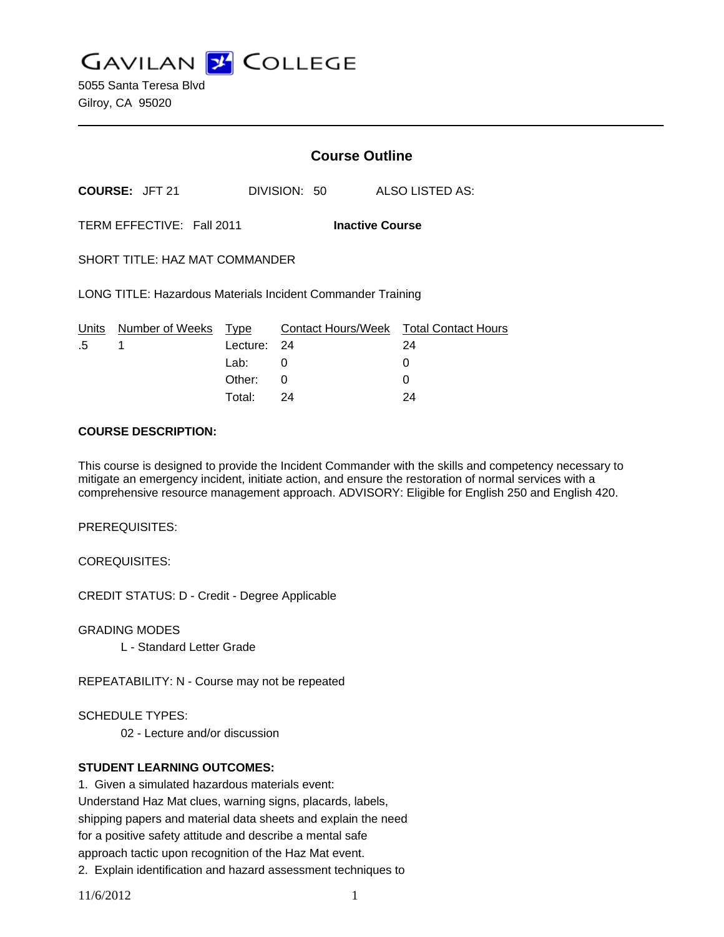**GAVILAN J COLLEGE** 

5055 Santa Teresa Blvd Gilroy, CA 95020

|                           |                                                             |                     | <b>Course Outline</b>  |                                              |  |
|---------------------------|-------------------------------------------------------------|---------------------|------------------------|----------------------------------------------|--|
| <b>COURSE: JFT 21</b>     |                                                             |                     | DIVISION: 50           | <b>ALSO LISTED AS:</b>                       |  |
| TERM EFFECTIVE: Fall 2011 |                                                             |                     | <b>Inactive Course</b> |                                              |  |
|                           | <b>SHORT TITLE: HAZ MAT COMMANDER</b>                       |                     |                        |                                              |  |
|                           | LONG TITLE: Hazardous Materials Incident Commander Training |                     |                        |                                              |  |
| .5                        | Units Number of Weeks Type<br>1                             |                     |                        | Contact Hours/Week Total Contact Hours<br>24 |  |
|                           |                                                             | Lecture: 24<br>Lab: | 0                      | 0                                            |  |
|                           |                                                             | Other:              | 0                      | 0                                            |  |
|                           |                                                             | Total:              | 24                     | 24                                           |  |

#### **COURSE DESCRIPTION:**

This course is designed to provide the Incident Commander with the skills and competency necessary to mitigate an emergency incident, initiate action, and ensure the restoration of normal services with a comprehensive resource management approach. ADVISORY: Eligible for English 250 and English 420.

PREREQUISITES:

COREQUISITES:

CREDIT STATUS: D - Credit - Degree Applicable

GRADING MODES

L - Standard Letter Grade

REPEATABILITY: N - Course may not be repeated

SCHEDULE TYPES:

02 - Lecture and/or discussion

## **STUDENT LEARNING OUTCOMES:**

1. Given a simulated hazardous materials event: Understand Haz Mat clues, warning signs, placards, labels, shipping papers and material data sheets and explain the need for a positive safety attitude and describe a mental safe approach tactic upon recognition of the Haz Mat event.

2. Explain identification and hazard assessment techniques to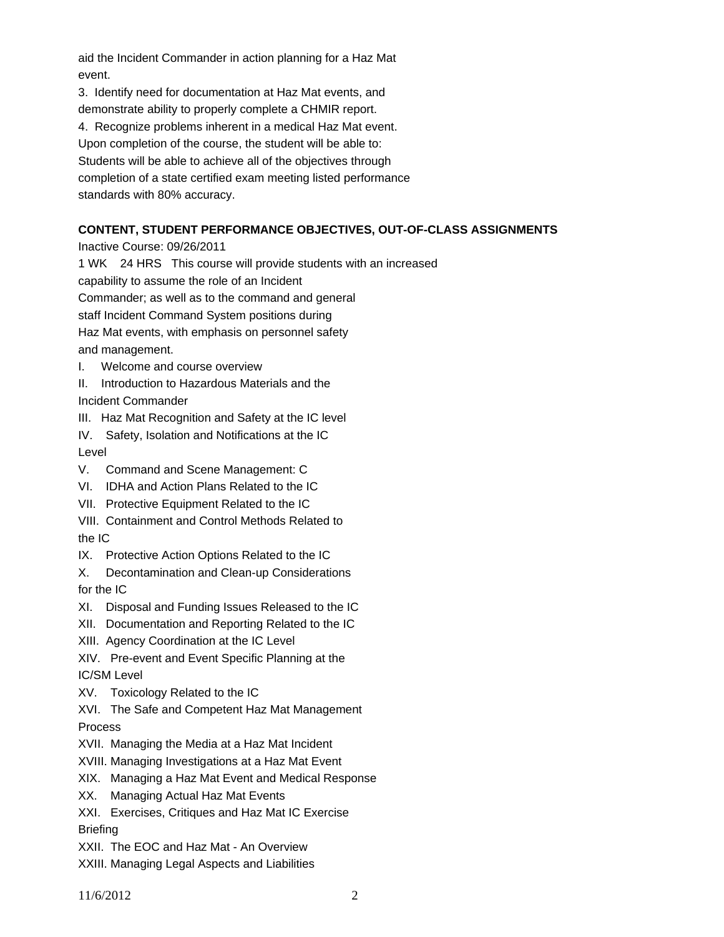aid the Incident Commander in action planning for a Haz Mat event.

3. Identify need for documentation at Haz Mat events, and demonstrate ability to properly complete a CHMIR report. 4. Recognize problems inherent in a medical Haz Mat event. Upon completion of the course, the student will be able to: Students will be able to achieve all of the objectives through completion of a state certified exam meeting listed performance standards with 80% accuracy.

# **CONTENT, STUDENT PERFORMANCE OBJECTIVES, OUT-OF-CLASS ASSIGNMENTS**

Inactive Course: 09/26/2011

1 WK 24 HRS This course will provide students with an increased capability to assume the role of an Incident Commander; as well as to the command and general staff Incident Command System positions during Haz Mat events, with emphasis on personnel safety and management. I. Welcome and course overview

II. Introduction to Hazardous Materials and the

Incident Commander

III. Haz Mat Recognition and Safety at the IC level

IV. Safety, Isolation and Notifications at the IC Level

- V. Command and Scene Management: C
- VI. IDHA and Action Plans Related to the IC
- VII. Protective Equipment Related to the IC
- VIII. Containment and Control Methods Related to the IC
- IX. Protective Action Options Related to the IC
- X. Decontamination and Clean-up Considerations for the IC
- XI. Disposal and Funding Issues Released to the IC
- XII. Documentation and Reporting Related to the IC
- XIII. Agency Coordination at the IC Level

XIV. Pre-event and Event Specific Planning at the IC/SM Level

XV. Toxicology Related to the IC

XVI. The Safe and Competent Haz Mat Management Process

- XVII. Managing the Media at a Haz Mat Incident
- XVIII. Managing Investigations at a Haz Mat Event
- XIX. Managing a Haz Mat Event and Medical Response
- XX. Managing Actual Haz Mat Events
- XXI. Exercises, Critiques and Haz Mat IC Exercise **Briefing**
- XXII. The EOC and Haz Mat An Overview

XXIII. Managing Legal Aspects and Liabilities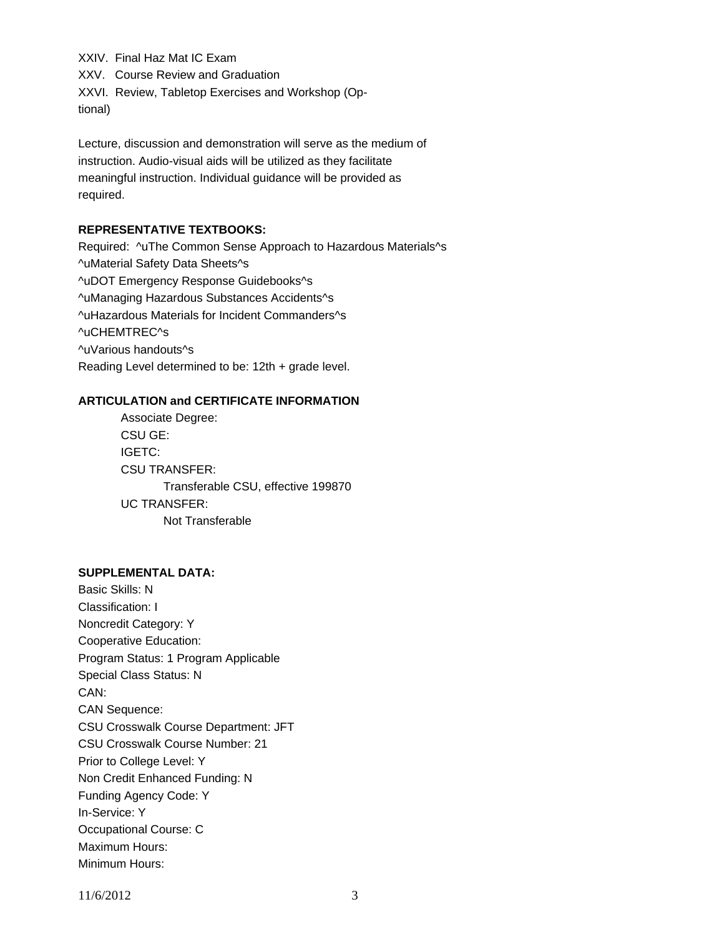XXIV. Final Haz Mat IC Exam

XXV. Course Review and Graduation

XXVI. Review, Tabletop Exercises and Workshop (Optional)

Lecture, discussion and demonstration will serve as the medium of instruction. Audio-visual aids will be utilized as they facilitate meaningful instruction. Individual guidance will be provided as required.

## **REPRESENTATIVE TEXTBOOKS:**

Required: ^uThe Common Sense Approach to Hazardous Materials^s ^uMaterial Safety Data Sheets^s ^uDOT Emergency Response Guidebooks^s ^uManaging Hazardous Substances Accidents^s ^uHazardous Materials for Incident Commanders^s ^uCHEMTREC^s ^uVarious handouts^s Reading Level determined to be: 12th + grade level.

## **ARTICULATION and CERTIFICATE INFORMATION**

 Transferable CSU, effective 199870 UC TRANSFER: Not Transferable Associate Degree: CSU GE: IGETC: CSU TRANSFER:

#### **SUPPLEMENTAL DATA:**

Basic Skills: N Classification: I Noncredit Category: Y Cooperative Education: Program Status: 1 Program Applicable Special Class Status: N CAN: CAN Sequence: CSU Crosswalk Course Department: JFT CSU Crosswalk Course Number: 21 Prior to College Level: Y Non Credit Enhanced Funding: N Funding Agency Code: Y In-Service: Y Occupational Course: C Maximum Hours: Minimum Hours:

11/6/2012 3